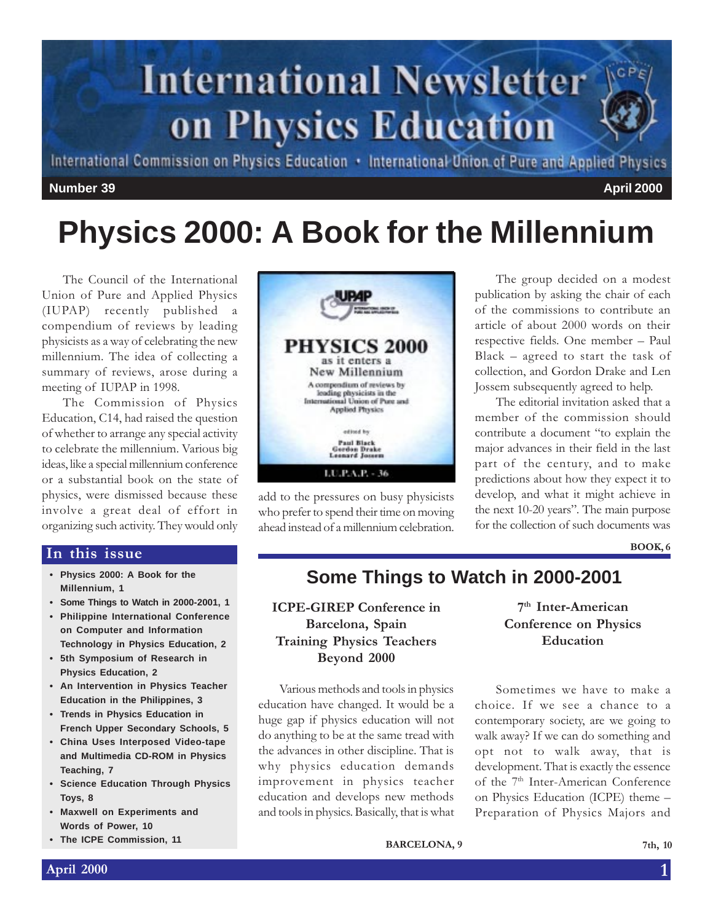

International Commission on Physics Education . International Union of Pure and Applied Physics

#### **Number 39 April 2000**

# **Physics 2000: A Book for the Millennium**

The Council of the International Union of Pure and Applied Physics (IUPAP) recently published a compendium of reviews by leading physicists as a way of celebrating the new millennium. The idea of collecting a summary of reviews, arose during a meeting of IUPAP in 1998.

The Commission of Physics Education, C14, had raised the question of whether to arrange any special activity to celebrate the millennium. Various big ideas, like a special millennium conference or a substantial book on the state of physics, were dismissed because these involve a great deal of effort in organizing such activity. They would only

#### In this issue

- **Physics 2000: A Book for the Millennium, 1**
- **Some Things to Watch in 2000-2001, 1**
- **Philippine International Conference on Computer and Information Technology in Physics Education, 2**
- **5th Symposium of Research in Physics Education, 2**
- **An Intervention in Physics Teacher Education in the Philippines, 3**
- **Trends in Physics Education in French Upper Secondary Schools, 5**
- **China Uses Interposed Video-tape and Multimedia CD-ROM in Physics Teaching, 7**
- **Science Education Through Physics Toys, 8**
- **Maxwell on Experiments and Words of Power, 10**
- **The ICPE Commission, 11**



add to the pressures on busy physicists who prefer to spend their time on moving ahead instead of a millennium celebration.

The group decided on a modest publication by asking the chair of each of the commissions to contribute an article of about 2000 words on their respective fields. One member - Paul Black  $-$  agreed to start the task of collection, and Gordon Drake and Len Jossem subsequently agreed to help.

The editorial invitation asked that a member of the commission should contribute a document "to explain the major advances in their field in the last part of the century, and to make predictions about how they expect it to develop, and what it might achieve in the next 10-20 years". The main purpose for the collection of such documents was

BOOK, 6

### **Some Things to Watch in 2000-2001**

ICPE-GIREP Conference in Barcelona, Spain Training Physics Teachers Beyond 2000

Various methods and tools in physics education have changed. It would be a huge gap if physics education will not do anything to be at the same tread with the advances in other discipline. That is why physics education demands improvement in physics teacher education and develops new methods and tools in physics. Basically, that is what

7<sup>th</sup> Inter-American Conference on Physics Education

Sometimes we have to make a choice. If we see a chance to a contemporary society, are we going to walk away? If we can do something and opt not to walk away, that is development. That is exactly the essence of the 7<sup>th</sup> Inter-American Conference on Physics Education (ICPE) theme Preparation of Physics Majors and

BARCELONA, 9 7th, 10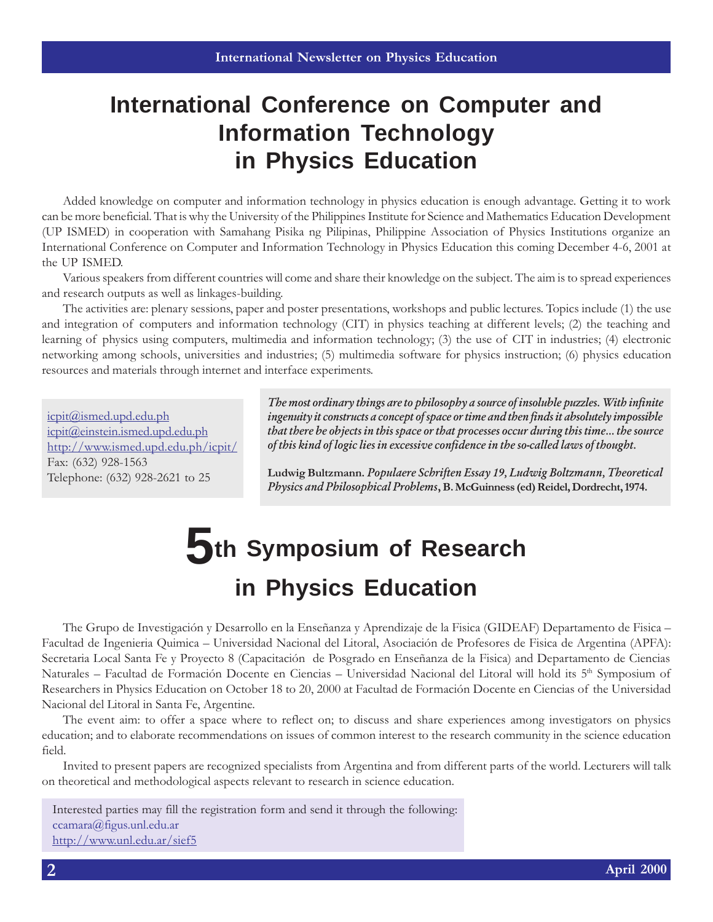## **International Conference on Computer and Information Technology in Physics Education**

Added knowledge on computer and information technology in physics education is enough advantage. Getting it to work can be more beneficial. That is why the University of the Philippines Institute for Science and Mathematics Education Development (UP ISMED) in cooperation with Samahang Pisika ng Pilipinas, Philippine Association of Physics Institutions organize an International Conference on Computer and Information Technology in Physics Education this coming December 4-6, 2001 at the UP ISMED.

Various speakers from different countries will come and share their knowledge on the subject. The aim is to spread experiences and research outputs as well as linkages-building.

The activities are: plenary sessions, paper and poster presentations, workshops and public lectures. Topics include (1) the use and integration of computers and information technology (CIT) in physics teaching at different levels; (2) the teaching and learning of physics using computers, multimedia and information technology; (3) the use of CIT in industries; (4) electronic networking among schools, universities and industries; (5) multimedia software for physics instruction; (6) physics education resources and materials through internet and interface experiments.

icpit@ismed.upd.edu.ph icpit@einstein.ismed.upd.edu.ph http://www.ismed.upd.edu.ph/icpit/ Fax: (632) 928-1563 Telephone: (632) 928-2621 to 25

The most ordinary things are to philosophy a source of insoluble puzzles. With infinite ingenuity it constructs a concept of space or time and then finds it absolutely impossible that there be objects in this space or that processes occur during this time... the source of this kind of logic lies in excessive confidence in the so-called laws of thought.

Ludwig Bultzmann. Populaere Schriften Essay 19, Ludwig Boltzmann, Theoretical Physics and Philosophical Problems, B. McGuinness (ed) Reidel, Dordrecht, 1974.

# **5th Symposium of Research in Physics Education**

The Grupo de Investigación y Desarrollo en la Enseñanza y Aprendizaje de la Fisica (GIDEAF) Departamento de Fisica Facultad de Ingenieria Quimica Universidad Nacional del Litoral, Asociación de Profesores de Fisica de Argentina (APFA): Secretaria Local Santa Fe y Proyecto 8 (Capacitación de Posgrado en Enseñanza de la Fisica) and Departamento de Ciencias Naturales – Facultad de Formación Docente en Ciencias – Universidad Nacional del Litoral will hold its 5<sup>th</sup> Symposium of Researchers in Physics Education on October 18 to 20, 2000 at Facultad de Formación Docente en Ciencias of the Universidad Nacional del Litoral in Santa Fe, Argentine.

The event aim: to offer a space where to reflect on; to discuss and share experiences among investigators on physics education; and to elaborate recommendations on issues of common interest to the research community in the science education field.

Invited to present papers are recognized specialists from Argentina and from different parts of the world. Lecturers will talk on theoretical and methodological aspects relevant to research in science education.

Interested parties may fill the registration form and send it through the following: ccamara@figus.unl.edu.ar http://www.unl.edu.ar/sief5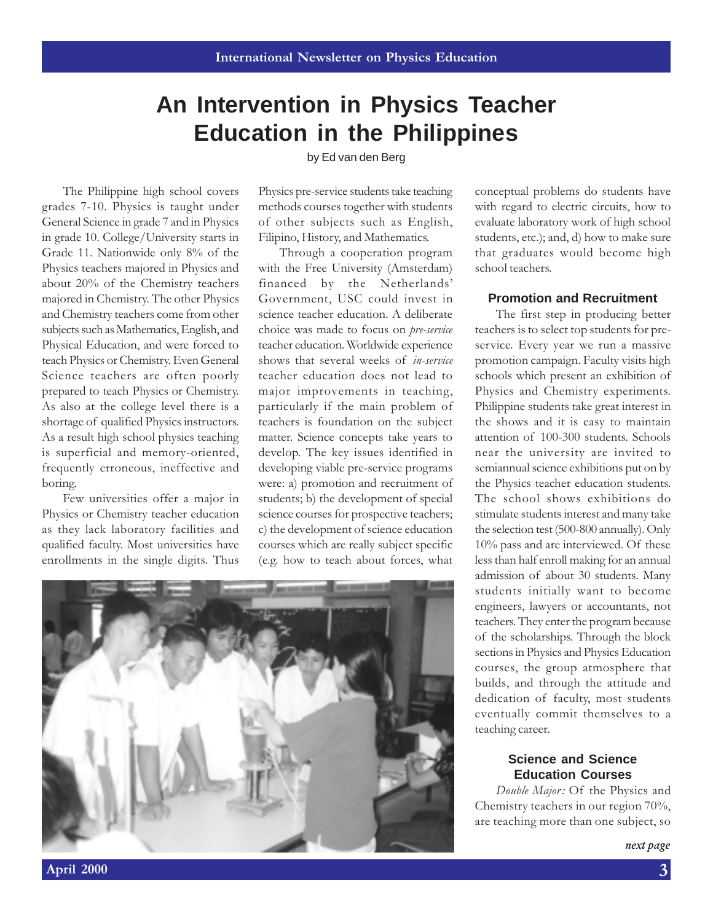## **An Intervention in Physics Teacher Education in the Philippines**

by Ed van den Berg

The Philippine high school covers grades 7-10. Physics is taught under General Science in grade 7 and in Physics in grade 10. College/University starts in Grade 11. Nationwide only 8% of the Physics teachers majored in Physics and about 20% of the Chemistry teachers majored in Chemistry. The other Physics and Chemistry teachers come from other subjects such as Mathematics, English, and Physical Education, and were forced to teach Physics or Chemistry. Even General Science teachers are often poorly prepared to teach Physics or Chemistry. As also at the college level there is a shortage of qualified Physics instructors. As a result high school physics teaching is superficial and memory-oriented, frequently erroneous, ineffective and boring.

Few universities offer a major in Physics or Chemistry teacher education as they lack laboratory facilities and qualified faculty. Most universities have enrollments in the single digits. Thus

Physics pre-service students take teaching methods courses together with students of other subjects such as English, Filipino, History, and Mathematics.

Through a cooperation program with the Free University (Amsterdam) financed by the Netherlands Government, USC could invest in science teacher education. A deliberate choice was made to focus on pre-service teacher education. Worldwide experience shows that several weeks of in-service teacher education does not lead to major improvements in teaching, particularly if the main problem of teachers is foundation on the subject matter. Science concepts take years to develop. The key issues identified in developing viable pre-service programs were: a) promotion and recruitment of students; b) the development of special science courses for prospective teachers; c) the development of science education courses which are really subject specific (e.g. how to teach about forces, what



conceptual problems do students have with regard to electric circuits, how to evaluate laboratory work of high school students, etc.); and, d) how to make sure that graduates would become high school teachers.

#### **Promotion and Recruitment**

The first step in producing better teachers is to select top students for preservice. Every year we run a massive promotion campaign. Faculty visits high schools which present an exhibition of Physics and Chemistry experiments. Philippine students take great interest in the shows and it is easy to maintain attention of 100-300 students. Schools near the university are invited to semiannual science exhibitions put on by the Physics teacher education students. The school shows exhibitions do stimulate students interest and many take the selection test (500-800 annually). Only 10% pass and are interviewed. Of these less than half enroll making for an annual admission of about 30 students. Many students initially want to become engineers, lawyers or accountants, not teachers. They enter the program because of the scholarships. Through the block sections in Physics and Physics Education courses, the group atmosphere that builds, and through the attitude and dedication of faculty, most students eventually commit themselves to a teaching career.

#### **Science and Science Education Courses**

Double Major: Of the Physics and Chemistry teachers in our region 70%, are teaching more than one subject, so

next page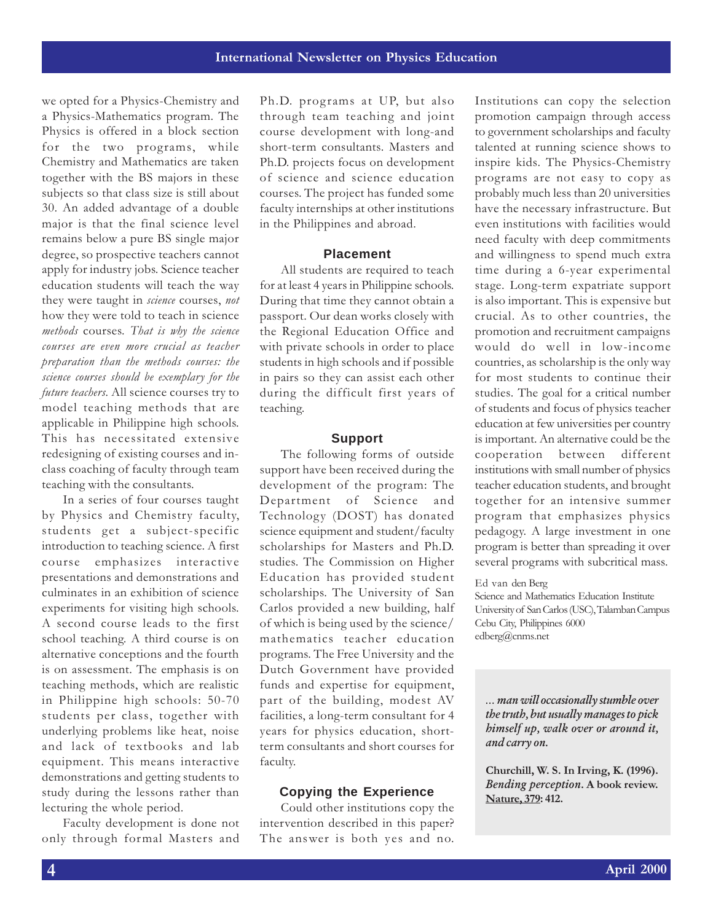we opted for a Physics-Chemistry and a Physics-Mathematics program. The Physics is offered in a block section for the two programs, while Chemistry and Mathematics are taken together with the BS majors in these subjects so that class size is still about 30. An added advantage of a double major is that the final science level remains below a pure BS single major degree, so prospective teachers cannot apply for industry jobs. Science teacher education students will teach the way they were taught in *science* courses, not how they were told to teach in science methods courses. That is why the science courses are even more crucial as teacher preparation than the methods courses: the science courses should be exemplary for the future teachers. All science courses try to model teaching methods that are applicable in Philippine high schools. This has necessitated extensive redesigning of existing courses and inclass coaching of faculty through team teaching with the consultants.

In a series of four courses taught by Physics and Chemistry faculty, students get a subject-specific introduction to teaching science. A first course emphasizes interactive presentations and demonstrations and culminates in an exhibition of science experiments for visiting high schools. A second course leads to the first school teaching. A third course is on alternative conceptions and the fourth is on assessment. The emphasis is on teaching methods, which are realistic in Philippine high schools: 50-70 students per class, together with underlying problems like heat, noise and lack of textbooks and lab equipment. This means interactive demonstrations and getting students to study during the lessons rather than lecturing the whole period.

Faculty development is done not only through formal Masters and

Ph.D. programs at UP, but also through team teaching and joint course development with long-and short-term consultants. Masters and Ph.D. projects focus on development of science and science education courses. The project has funded some faculty internships at other institutions in the Philippines and abroad.

#### **Placement**

All students are required to teach for at least 4 years in Philippine schools. During that time they cannot obtain a passport. Our dean works closely with the Regional Education Office and with private schools in order to place students in high schools and if possible in pairs so they can assist each other during the difficult first years of teaching.

#### **Support**

The following forms of outside support have been received during the development of the program: The Department of Science and Technology (DOST) has donated science equipment and student/faculty scholarships for Masters and Ph.D. studies. The Commission on Higher Education has provided student scholarships. The University of San Carlos provided a new building, half of which is being used by the science/ mathematics teacher education programs. The Free University and the Dutch Government have provided funds and expertise for equipment, part of the building, modest AV facilities, a long-term consultant for 4 years for physics education, shortterm consultants and short courses for faculty.

#### **Copying the Experience**

Could other institutions copy the intervention described in this paper? The answer is both yes and no.

Institutions can copy the selection promotion campaign through access to government scholarships and faculty talented at running science shows to inspire kids. The Physics-Chemistry programs are not easy to copy as probably much less than 20 universities have the necessary infrastructure. But even institutions with facilities would need faculty with deep commitments and willingness to spend much extra time during a 6-year experimental stage. Long-term expatriate support is also important. This is expensive but crucial. As to other countries, the promotion and recruitment campaigns would do well in low-income countries, as scholarship is the only way for most students to continue their studies. The goal for a critical number of students and focus of physics teacher education at few universities per country is important. An alternative could be the cooperation between different institutions with small number of physics teacher education students, and brought together for an intensive summer program that emphasizes physics pedagogy. A large investment in one program is better than spreading it over several programs with subcritical mass.

Ed van den Berg

Science and Mathematics Education Institute University of San Carlos (USC), Talamban Campus Cebu City, Philippines 6000 edberg@cnms.net

 man will occasionally stumble over the truth, but usually manages to pick himself up, walk over or around it, and carry on.

Churchill, W. S. In Irving, K. (1996). Bending perception. A book review. Nature, 379: 412.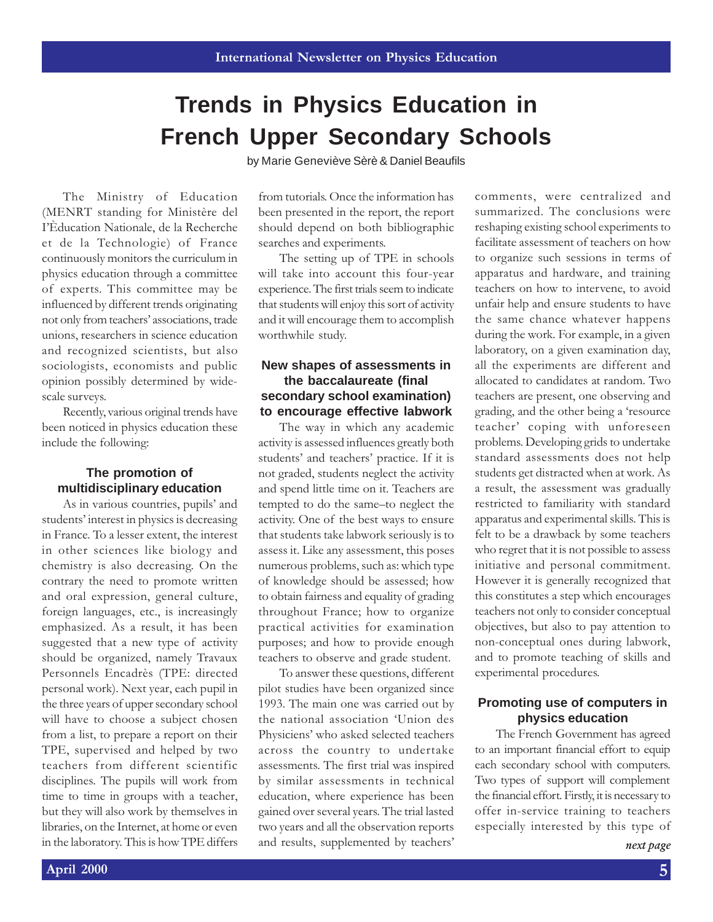## **Trends in Physics Education in French Upper Secondary Schools**

by Marie Geneviève Sèrè & Daniel Beaufils

The Ministry of Education (MENRT standing for Ministère del IÈducation Nationale, de la Recherche et de la Technologie) of France continuously monitors the curriculum in physics education through a committee of experts. This committee may be influenced by different trends originating not only from teachers' associations, trade unions, researchers in science education and recognized scientists, but also sociologists, economists and public opinion possibly determined by widescale surveys.

Recently, various original trends have been noticed in physics education these include the following:

#### **The promotion of multidisciplinary education**

As in various countries, pupils' and students' interest in physics is decreasing in France. To a lesser extent, the interest in other sciences like biology and chemistry is also decreasing. On the contrary the need to promote written and oral expression, general culture, foreign languages, etc., is increasingly emphasized. As a result, it has been suggested that a new type of activity should be organized, namely Travaux Personnels Encadrès (TPE: directed personal work). Next year, each pupil in the three years of upper secondary school will have to choose a subject chosen from a list, to prepare a report on their TPE, supervised and helped by two teachers from different scientific disciplines. The pupils will work from time to time in groups with a teacher, but they will also work by themselves in libraries, on the Internet, at home or even in the laboratory. This is how TPE differs

from tutorials. Once the information has been presented in the report, the report should depend on both bibliographic searches and experiments.

The setting up of TPE in schools will take into account this four-year experience. The first trials seem to indicate that students will enjoy this sort of activity and it will encourage them to accomplish worthwhile study.

#### **New shapes of assessments in the baccalaureate (final secondary school examination) to encourage effective labwork**

The way in which any academic activity is assessed influences greatly both students' and teachers' practice. If it is not graded, students neglect the activity and spend little time on it. Teachers are tempted to do the same-to neglect the activity. One of the best ways to ensure that students take labwork seriously is to assess it. Like any assessment, this poses numerous problems, such as: which type of knowledge should be assessed; how to obtain fairness and equality of grading throughout France; how to organize practical activities for examination purposes; and how to provide enough teachers to observe and grade student.

To answer these questions, different pilot studies have been organized since 1993. The main one was carried out by the national association Union des Physiciens' who asked selected teachers across the country to undertake assessments. The first trial was inspired by similar assessments in technical education, where experience has been gained over several years. The trial lasted two years and all the observation reports and results, supplemented by teachers

comments, were centralized and summarized. The conclusions were reshaping existing school experiments to facilitate assessment of teachers on how to organize such sessions in terms of apparatus and hardware, and training teachers on how to intervene, to avoid unfair help and ensure students to have the same chance whatever happens during the work. For example, in a given laboratory, on a given examination day, all the experiments are different and allocated to candidates at random. Two teachers are present, one observing and grading, and the other being a 'resource teacher' coping with unforeseen problems. Developing grids to undertake standard assessments does not help students get distracted when at work. As a result, the assessment was gradually restricted to familiarity with standard apparatus and experimental skills. This is felt to be a drawback by some teachers who regret that it is not possible to assess initiative and personal commitment. However it is generally recognized that this constitutes a step which encourages teachers not only to consider conceptual objectives, but also to pay attention to non-conceptual ones during labwork, and to promote teaching of skills and experimental procedures.

#### **Promoting use of computers in physics education**

The French Government has agreed to an important financial effort to equip each secondary school with computers. Two types of support will complement the financial effort. Firstly, it is necessary to offer in-service training to teachers especially interested by this type of next page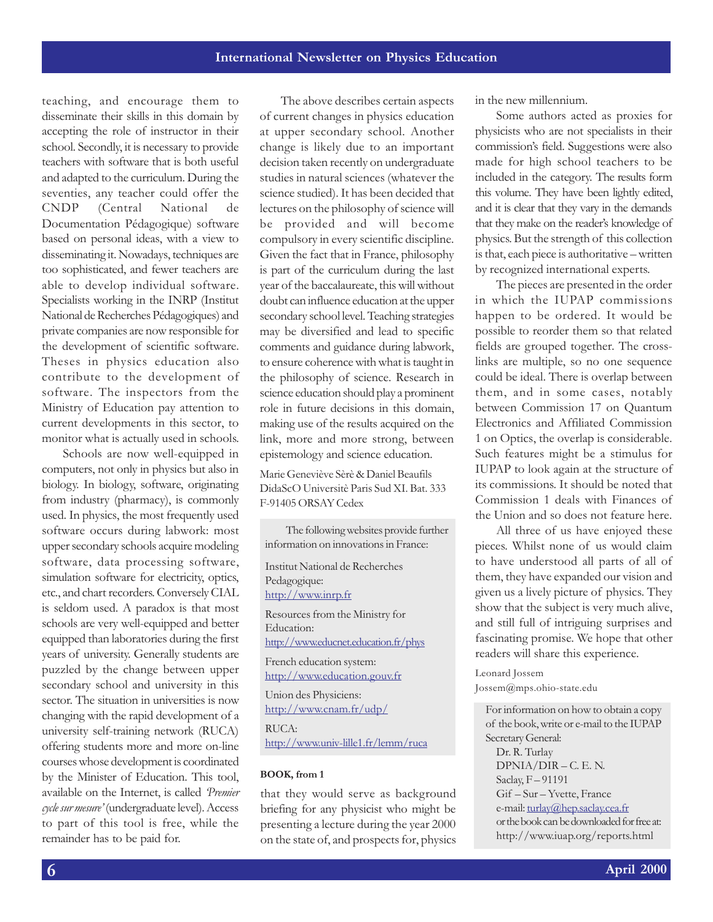teaching, and encourage them to disseminate their skills in this domain by accepting the role of instructor in their school. Secondly, it is necessary to provide teachers with software that is both useful and adapted to the curriculum. During the seventies, any teacher could offer the CNDP (Central National de Documentation Pédagogique) software based on personal ideas, with a view to disseminating it. Nowadays, techniques are too sophisticated, and fewer teachers are able to develop individual software. Specialists working in the INRP (Institut National de Recherches Pédagogiques) and private companies are now responsible for the development of scientific software. Theses in physics education also contribute to the development of software. The inspectors from the Ministry of Education pay attention to current developments in this sector, to monitor what is actually used in schools.

Schools are now well-equipped in computers, not only in physics but also in biology. In biology, software, originating from industry (pharmacy), is commonly used. In physics, the most frequently used software occurs during labwork: most upper secondary schools acquire modeling software, data processing software, simulation software for electricity, optics, etc., and chart recorders. Conversely CIAL is seldom used. A paradox is that most schools are very well-equipped and better equipped than laboratories during the first years of university. Generally students are puzzled by the change between upper secondary school and university in this sector. The situation in universities is now changing with the rapid development of a university self-training network (RUCA) offering students more and more on-line courses whose development is coordinated by the Minister of Education. This tool, available on the Internet, is called Premier cycle sur mesure' (undergraduate level). Access to part of this tool is free, while the remainder has to be paid for.

The above describes certain aspects of current changes in physics education at upper secondary school. Another change is likely due to an important decision taken recently on undergraduate studies in natural sciences (whatever the science studied). It has been decided that lectures on the philosophy of science will be provided and will become compulsory in every scientific discipline. Given the fact that in France, philosophy is part of the curriculum during the last year of the baccalaureate, this will without doubt can influence education at the upper secondary school level. Teaching strategies may be diversified and lead to specific comments and guidance during labwork, to ensure coherence with what is taught in the philosophy of science. Research in science education should play a prominent role in future decisions in this domain, making use of the results acquired on the link, more and more strong, between epistemology and science education.

Marie Geneviève Sèrè & Daniel Beaufils DidaScO Universitè Paris Sud XI. Bat. 333 F-91405 ORSAY Cedex

The following websites provide further information on innovations in France:

Institut National de Recherches Pedagogique: http://www.inrp.fr Resources from the Ministry for

Education: http://www.educnet.education.fr/phys French education system:

http://www.education.gouv.fr

Union des Physiciens: http://www.cnam.fr/udp/ RUCA: http://www.univ-lille1.fr/lemm/ruca

#### BOOK, from 1

that they would serve as background briefing for any physicist who might be presenting a lecture during the year 2000 on the state of, and prospects for, physics

in the new millennium.

Some authors acted as proxies for physicists who are not specialists in their commission's field. Suggestions were also made for high school teachers to be included in the category. The results form this volume. They have been lightly edited, and it is clear that they vary in the demands that they make on the reader's knowledge of physics. But the strength of this collection is that, each piece is authoritative - written by recognized international experts.

The pieces are presented in the order in which the IUPAP commissions happen to be ordered. It would be possible to reorder them so that related fields are grouped together. The crosslinks are multiple, so no one sequence could be ideal. There is overlap between them, and in some cases, notably between Commission 17 on Quantum Electronics and Affiliated Commission 1 on Optics, the overlap is considerable. Such features might be a stimulus for IUPAP to look again at the structure of its commissions. It should be noted that Commission 1 deals with Finances of the Union and so does not feature here.

All three of us have enjoyed these pieces. Whilst none of us would claim to have understood all parts of all of them, they have expanded our vision and given us a lively picture of physics. They show that the subject is very much alive, and still full of intriguing surprises and fascinating promise. We hope that other readers will share this experience.

Leonard Jossem Jossem@mps.ohio-state.edu

For information on how to obtain a copy of the book, write or e-mail to the IUPAP Secretary General: Dr. R. Turlay  $DPNIA/DIR - C. E. N.$ Saclay, F-91191 Gif - Sur - Yvette, France e-mail: turlay@hep.saclay.cea.fr or the book can be downloaded for free at: http://www.iuap.org/reports.html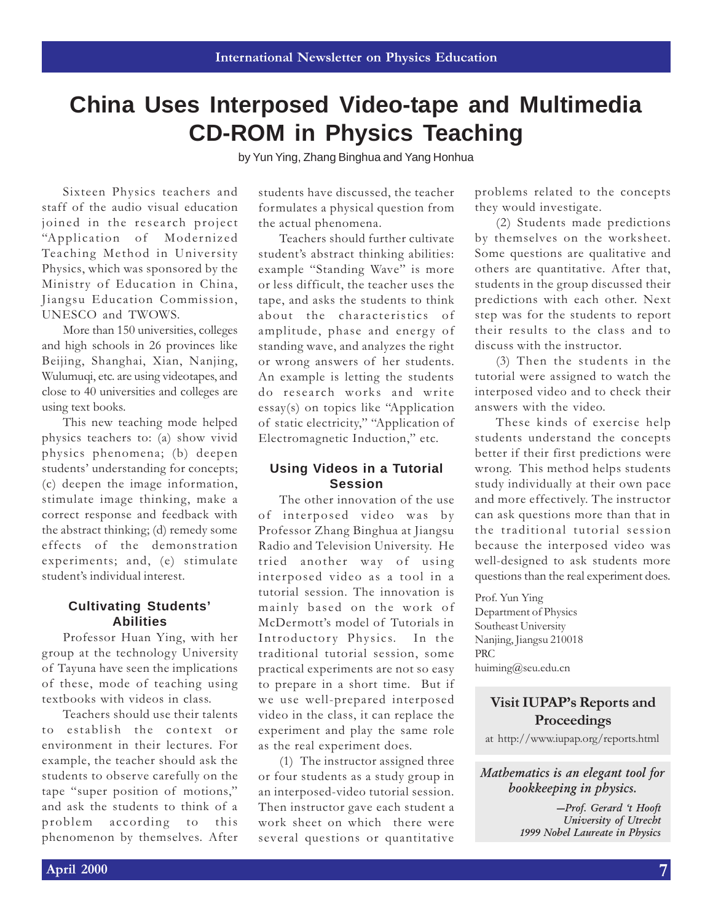## **China Uses Interposed Video-tape and Multimedia CD-ROM in Physics Teaching**

by Yun Ying, Zhang Binghua and Yang Honhua

Sixteen Physics teachers and staff of the audio visual education joined in the research project "Application of Modernized Teaching Method in University Physics, which was sponsored by the Ministry of Education in China, Jiangsu Education Commission, UNESCO and TWOWS.

More than 150 universities, colleges and high schools in 26 provinces like Beijing, Shanghai, Xian, Nanjing, Wulumuqi, etc. are using videotapes, and close to 40 universities and colleges are using text books.

This new teaching mode helped physics teachers to: (a) show vivid physics phenomena; (b) deepen students' understanding for concepts; (c) deepen the image information, stimulate image thinking, make a correct response and feedback with the abstract thinking; (d) remedy some effects of the demonstration experiments; and, (e) stimulate student's individual interest.

#### **Cultivating Students' Abilities**

Professor Huan Ying, with her group at the technology University of Tayuna have seen the implications of these, mode of teaching using textbooks with videos in class.

Teachers should use their talents to establish the context or environment in their lectures. For example, the teacher should ask the students to observe carefully on the tape "super position of motions," and ask the students to think of a problem according to this phenomenon by themselves. After

students have discussed, the teacher formulates a physical question from the actual phenomena.

Teachers should further cultivate student's abstract thinking abilities: example "Standing Wave" is more or less difficult, the teacher uses the tape, and asks the students to think about the characteristics of amplitude, phase and energy of standing wave, and analyzes the right or wrong answers of her students. An example is letting the students do research works and write essay(s) on topics like "Application of static electricity," "Application of Electromagnetic Induction," etc.

#### **Using Videos in a Tutorial Session**

The other innovation of the use of interposed video was by Professor Zhang Binghua at Jiangsu Radio and Television University. He tried another way of using interposed video as a tool in a tutorial session. The innovation is mainly based on the work of McDermott's model of Tutorials in Introductory Physics. In the traditional tutorial session, some practical experiments are not so easy to prepare in a short time. But if we use well-prepared interposed video in the class, it can replace the experiment and play the same role as the real experiment does.

(1) The instructor assigned three or four students as a study group in an interposed-video tutorial session. Then instructor gave each student a work sheet on which there were several questions or quantitative problems related to the concepts they would investigate.

(2) Students made predictions by themselves on the worksheet. Some questions are qualitative and others are quantitative. After that, students in the group discussed their predictions with each other. Next step was for the students to report their results to the class and to discuss with the instructor.

(3) Then the students in the tutorial were assigned to watch the interposed video and to check their answers with the video.

These kinds of exercise help students understand the concepts better if their first predictions were wrong. This method helps students study individually at their own pace and more effectively. The instructor can ask questions more than that in the traditional tutorial session because the interposed video was well-designed to ask students more questions than the real experiment does.

Prof. Yun Ying Department of Physics Southeast University Nanjing, Jiangsu 210018 PRC huiming@seu.edu.cn

#### Visit IUPAP's Reports and **Proceedings**

at http://www.iupap.org/reports.html

Mathematics is an elegant tool for bookkeeping in physics.

> -Prof. Gerard 't Hooft University of Utrecht 1999 Nobel Laureate in Physics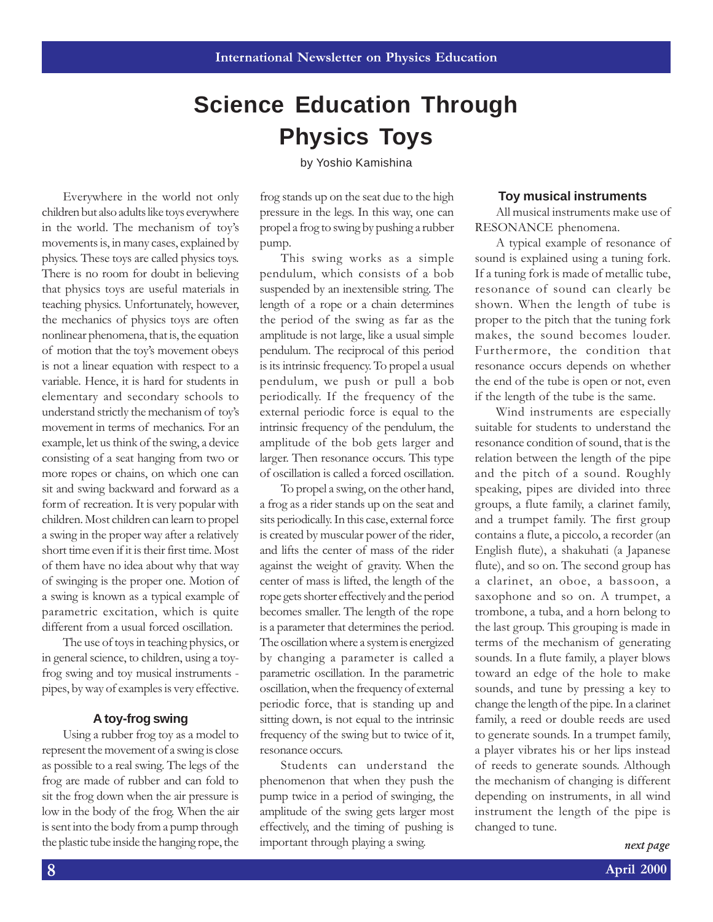## **Science Education Through Physics Toys**

by Yoshio Kamishina

Everywhere in the world not only children but also adults like toys everywhere in the world. The mechanism of toys movements is, in many cases, explained by physics. These toys are called physics toys. There is no room for doubt in believing that physics toys are useful materials in teaching physics. Unfortunately, however, the mechanics of physics toys are often nonlinear phenomena, that is, the equation of motion that the toys movement obeys is not a linear equation with respect to a variable. Hence, it is hard for students in elementary and secondary schools to understand strictly the mechanism of toys movement in terms of mechanics. For an example, let us think of the swing, a device consisting of a seat hanging from two or more ropes or chains, on which one can sit and swing backward and forward as a form of recreation. It is very popular with children. Most children can learn to propel a swing in the proper way after a relatively short time even if it is their first time. Most of them have no idea about why that way of swinging is the proper one. Motion of a swing is known as a typical example of parametric excitation, which is quite different from a usual forced oscillation.

The use of toys in teaching physics, or in general science, to children, using a toyfrog swing and toy musical instruments pipes, by way of examples is very effective.

#### **A toy-frog swing**

Using a rubber frog toy as a model to represent the movement of a swing is close as possible to a real swing. The legs of the frog are made of rubber and can fold to sit the frog down when the air pressure is low in the body of the frog. When the air is sent into the body from a pump through the plastic tube inside the hanging rope, the

frog stands up on the seat due to the high pressure in the legs. In this way, one can propel a frog to swing by pushing a rubber pump.

This swing works as a simple pendulum, which consists of a bob suspended by an inextensible string. The length of a rope or a chain determines the period of the swing as far as the amplitude is not large, like a usual simple pendulum. The reciprocal of this period is its intrinsic frequency. To propel a usual pendulum, we push or pull a bob periodically. If the frequency of the external periodic force is equal to the intrinsic frequency of the pendulum, the amplitude of the bob gets larger and larger. Then resonance occurs. This type of oscillation is called a forced oscillation.

To propel a swing, on the other hand, a frog as a rider stands up on the seat and sits periodically. In this case, external force is created by muscular power of the rider, and lifts the center of mass of the rider against the weight of gravity. When the center of mass is lifted, the length of the rope gets shorter effectively and the period becomes smaller. The length of the rope is a parameter that determines the period. The oscillation where a system is energized by changing a parameter is called a parametric oscillation. In the parametric oscillation, when the frequency of external periodic force, that is standing up and sitting down, is not equal to the intrinsic frequency of the swing but to twice of it, resonance occurs.

Students can understand the phenomenon that when they push the pump twice in a period of swinging, the amplitude of the swing gets larger most effectively, and the timing of pushing is important through playing a swing.

#### **Toy musical instruments**

All musical instruments make use of RESONANCE phenomena.

A typical example of resonance of sound is explained using a tuning fork. If a tuning fork is made of metallic tube, resonance of sound can clearly be shown. When the length of tube is proper to the pitch that the tuning fork makes, the sound becomes louder. Furthermore, the condition that resonance occurs depends on whether the end of the tube is open or not, even if the length of the tube is the same.

Wind instruments are especially suitable for students to understand the resonance condition of sound, that is the relation between the length of the pipe and the pitch of a sound. Roughly speaking, pipes are divided into three groups, a flute family, a clarinet family, and a trumpet family. The first group contains a flute, a piccolo, a recorder (an English flute), a shakuhati (a Japanese flute), and so on. The second group has a clarinet, an oboe, a bassoon, a saxophone and so on. A trumpet, a trombone, a tuba, and a horn belong to the last group. This grouping is made in terms of the mechanism of generating sounds. In a flute family, a player blows toward an edge of the hole to make sounds, and tune by pressing a key to change the length of the pipe. In a clarinet family, a reed or double reeds are used to generate sounds. In a trumpet family, a player vibrates his or her lips instead of reeds to generate sounds. Although the mechanism of changing is different depending on instruments, in all wind instrument the length of the pipe is changed to tune.

next page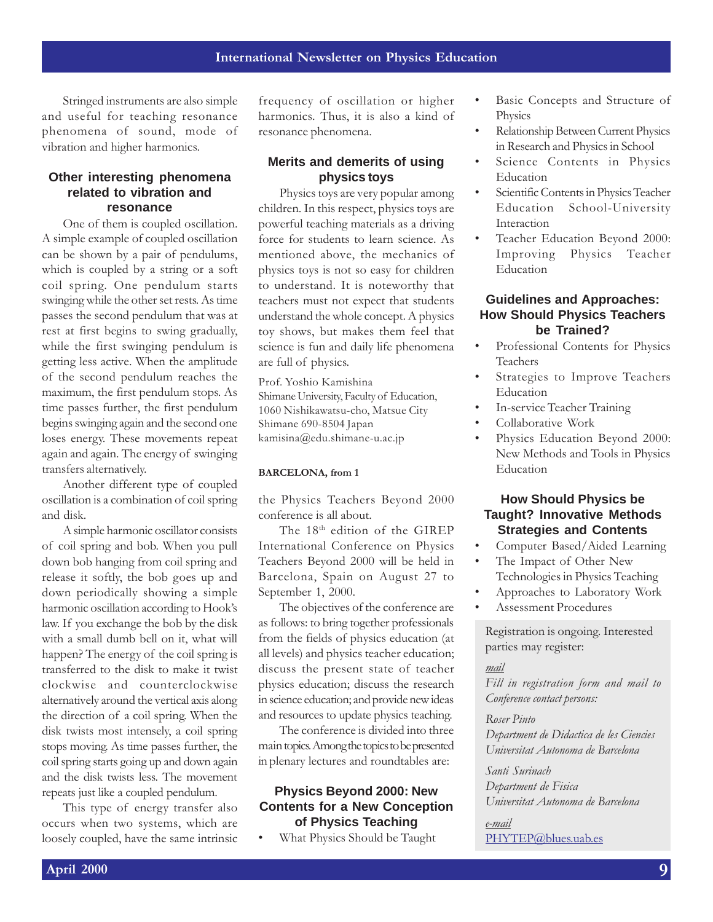Stringed instruments are also simple and useful for teaching resonance phenomena of sound, mode of vibration and higher harmonics.

#### **Other interesting phenomena related to vibration and resonance**

One of them is coupled oscillation. A simple example of coupled oscillation can be shown by a pair of pendulums, which is coupled by a string or a soft coil spring. One pendulum starts swinging while the other set rests. As time passes the second pendulum that was at rest at first begins to swing gradually, while the first swinging pendulum is getting less active. When the amplitude of the second pendulum reaches the maximum, the first pendulum stops. As time passes further, the first pendulum begins swinging again and the second one loses energy. These movements repeat again and again. The energy of swinging transfers alternatively.

Another different type of coupled oscillation is a combination of coil spring and disk.

A simple harmonic oscillator consists of coil spring and bob. When you pull down bob hanging from coil spring and release it softly, the bob goes up and down periodically showing a simple harmonic oscillation according to Hook's law. If you exchange the bob by the disk with a small dumb bell on it, what will happen? The energy of the coil spring is transferred to the disk to make it twist clockwise and counterclockwise alternatively around the vertical axis along the direction of a coil spring. When the disk twists most intensely, a coil spring stops moving. As time passes further, the coil spring starts going up and down again and the disk twists less. The movement repeats just like a coupled pendulum.

This type of energy transfer also occurs when two systems, which are loosely coupled, have the same intrinsic

frequency of oscillation or higher harmonics. Thus, it is also a kind of resonance phenomena.

#### **Merits and demerits of using physics toys**

Physics toys are very popular among children. In this respect, physics toys are powerful teaching materials as a driving force for students to learn science. As mentioned above, the mechanics of physics toys is not so easy for children to understand. It is noteworthy that teachers must not expect that students understand the whole concept. A physics toy shows, but makes them feel that science is fun and daily life phenomena are full of physics.

Prof. Yoshio Kamishina Shimane University, Faculty of Education, 1060 Nishikawatsu-cho, Matsue City Shimane 690-8504 Japan kamisina@edu.shimane-u.ac.jp

#### BARCELONA, from 1

the Physics Teachers Beyond 2000 conference is all about.

The 18<sup>th</sup> edition of the GIREP International Conference on Physics Teachers Beyond 2000 will be held in Barcelona, Spain on August 27 to September 1, 2000.

The objectives of the conference are as follows: to bring together professionals from the fields of physics education (at all levels) and physics teacher education; discuss the present state of teacher physics education; discuss the research in science education; and provide new ideas and resources to update physics teaching.

The conference is divided into three main topics. Among the topics to be presented in plenary lectures and roundtables are:

#### **Physics Beyond 2000: New Contents for a New Conception of Physics Teaching**

What Physics Should be Taught

- Basic Concepts and Structure of **Physics**
- Relationship Between Current Physics in Research and Physics in School
- Science Contents in Physics Education
- Scientific Contents in Physics Teacher Education School-University Interaction
- Teacher Education Beyond 2000: Improving Physics Teacher Education

#### **Guidelines and Approaches: How Should Physics Teachers be Trained?**

- Professional Contents for Physics Teachers
- Strategies to Improve Teachers Education
- In-service Teacher Training
- Collaborative Work
- Physics Education Beyond 2000: New Methods and Tools in Physics Education

#### **How Should Physics be Taught? Innovative Methods Strategies and Contents**

- Computer Based/Aided Learning
- The Impact of Other New Technologies in Physics Teaching
- Approaches to Laboratory Work
- Assessment Procedures

Registration is ongoing. Interested parties may register:

#### mail

Fill in registration form and mail to Conference contact persons:

#### Roser Pinto

Department de Didactica de les Ciencies Universitat Autonoma de Barcelona

Santi Surinach Department de Fisica Universitat Autonoma de Barcelona

e-mail PHYTEP@blues.uab.es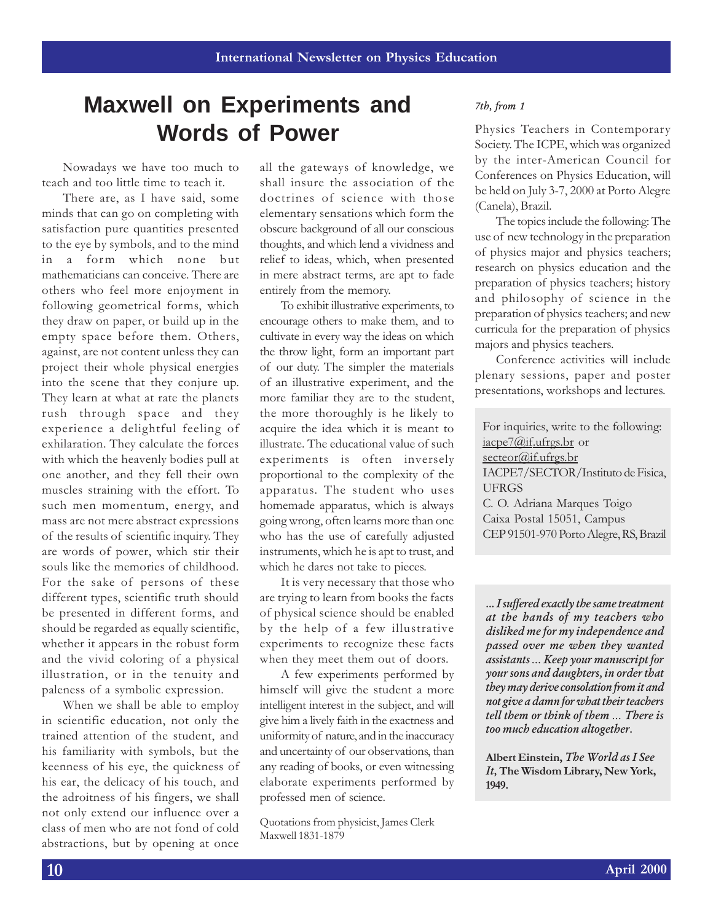## **Maxwell on Experiments and Words of Power**

Nowadays we have too much to teach and too little time to teach it.

There are, as I have said, some minds that can go on completing with satisfaction pure quantities presented to the eye by symbols, and to the mind in a form which none but mathematicians can conceive. There are others who feel more enjoyment in following geometrical forms, which they draw on paper, or build up in the empty space before them. Others, against, are not content unless they can project their whole physical energies into the scene that they conjure up. They learn at what at rate the planets rush through space and they experience a delightful feeling of exhilaration. They calculate the forces with which the heavenly bodies pull at one another, and they fell their own muscles straining with the effort. To such men momentum, energy, and mass are not mere abstract expressions of the results of scientific inquiry. They are words of power, which stir their souls like the memories of childhood. For the sake of persons of these different types, scientific truth should be presented in different forms, and should be regarded as equally scientific, whether it appears in the robust form and the vivid coloring of a physical illustration, or in the tenuity and paleness of a symbolic expression.

When we shall be able to employ in scientific education, not only the trained attention of the student, and his familiarity with symbols, but the keenness of his eye, the quickness of his ear, the delicacy of his touch, and the adroitness of his fingers, we shall not only extend our influence over a class of men who are not fond of cold abstractions, but by opening at once

all the gateways of knowledge, we shall insure the association of the doctrines of science with those elementary sensations which form the obscure background of all our conscious thoughts, and which lend a vividness and relief to ideas, which, when presented in mere abstract terms, are apt to fade entirely from the memory.

To exhibit illustrative experiments, to encourage others to make them, and to cultivate in every way the ideas on which the throw light, form an important part of our duty. The simpler the materials of an illustrative experiment, and the more familiar they are to the student, the more thoroughly is he likely to acquire the idea which it is meant to illustrate. The educational value of such experiments is often inversely proportional to the complexity of the apparatus. The student who uses homemade apparatus, which is always going wrong, often learns more than one who has the use of carefully adjusted instruments, which he is apt to trust, and which he dares not take to pieces.

It is very necessary that those who are trying to learn from books the facts of physical science should be enabled by the help of a few illustrative experiments to recognize these facts when they meet them out of doors.

A few experiments performed by himself will give the student a more intelligent interest in the subject, and will give him a lively faith in the exactness and uniformity of nature, and in the inaccuracy and uncertainty of our observations, than any reading of books, or even witnessing elaborate experiments performed by professed men of science.

Quotations from physicist, James Clerk Maxwell 1831-1879

#### 7th, from 1

Physics Teachers in Contemporary Society. The ICPE, which was organized by the inter-American Council for Conferences on Physics Education, will be held on July 3-7, 2000 at Porto Alegre (Canela), Brazil.

The topics include the following: The use of new technology in the preparation of physics major and physics teachers; research on physics education and the preparation of physics teachers; history and philosophy of science in the preparation of physics teachers; and new curricula for the preparation of physics majors and physics teachers.

Conference activities will include plenary sessions, paper and poster presentations, workshops and lectures.

For inquiries, write to the following: iacpe7@if.ufrgs.br or secteor@if.ufrgs.br IACPE7/SECTOR/Instituto de Fisica, UFRGS C. O. Adriana Marques Toigo Caixa Postal 15051, Campus CEP 91501-970 Porto Alegre, RS, Brazil

... I suffered exactly the same treatment at the hands of my teachers who disliked me for my independence and passed over me when they wanted assistants ... Keep your manuscript for your sons and daughters, in order that they may derive consolation from it and not give a damn for what their teachers tell them or think of them ... There is too much education altogether.

Albert Einstein, The World as I See It, The Wisdom Library, New York, 1949.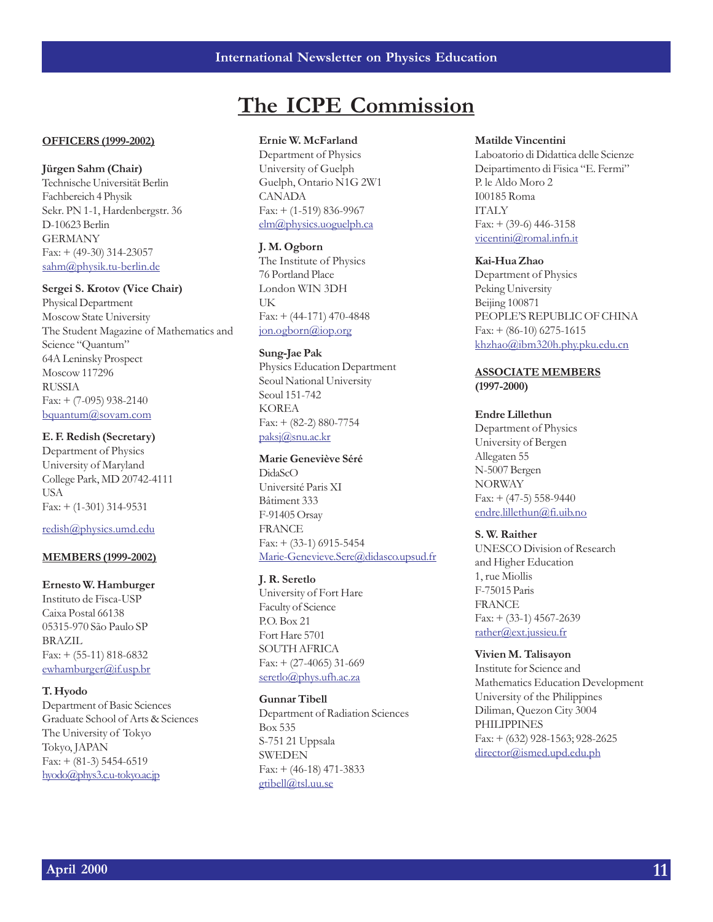### The ICPE Commission

#### OFFICERS (1999-2002)

Jürgen Sahm (Chair)

Technische Universität Berlin Fachbereich 4 Physik Sekr. PN 1-1, Hardenbergstr. 36 D-10623 Berlin **GERMANY** Fax: + (49-30) 314-23057 sahm@physik.tu-berlin.de

#### Sergei S. Krotov (Vice Chair)

Physical Department Moscow State University The Student Magazine of Mathematics and Science "Quantum" 64A Leninsky Prospect Moscow 117296 RUSSIA Fax: + (7-095) 938-2140 bquantum@sovam.com

#### E. F. Redish (Secretary)

Department of Physics University of Maryland College Park, MD 20742-4111 USA Fax: + (1-301) 314-9531

#### redish@physics.umd.edu

#### MEMBERS (1999-2002)

#### Ernesto W. Hamburger

Instituto de Fisca-USP Caixa Postal 66138 05315-970 São Paulo SP BRAZIL Fax: + (55-11) 818-6832 ewhamburger@if.usp.br

#### T. Hyodo

Department of Basic Sciences Graduate School of Arts & Sciences The University of Tokyo Tokyo, JAPAN Fax: + (81-3) 5454-6519 hyodo@phys3.c.u-tokyo.ac.jp

#### Ernie W. McFarland

Department of Physics University of Guelph Guelph, Ontario N1G 2W1 CANADA Fax: + (1-519) 836-9967 elm@physics.uoguelph.ca

#### J. M. Ogborn

The Institute of Physics 76 Portland Place London WIN 3DH **IK** Fax: + (44-171) 470-4848 jon.ogborn@iop.org

#### Sung-Jae Pak

Physics Education Department Seoul National University Seoul 151-742 KOREA  $Fax: + (82-2) 880-7754$ paksj@snu.ac.kr

#### Marie Geneviève Séré

DidaScO Université Paris XI Bâtiment 333 F-91405 Orsay FRANCE Fax: + (33-1) 6915-5454 Marie-Genevieve.Sere@didasco.upsud.fr

#### J. R. Seretlo

University of Fort Hare Faculty of Science P.O. Box 21 Fort Hare 5701 SOUTH AFRICA  $Fax: + (27-4065)$  31-669 seretlo@phys.ufh.ac.za

#### Gunnar Tibell

Department of Radiation Sciences Box 535 S-751 21 Uppsala SWEDEN Fax: + (46-18) 471-3833 gtibell@tsl.uu.se

#### Matilde Vincentini

Laboatorio di Didattica delle Scienze Deipartimento di Fisica "E. Fermi" P. le Aldo Moro 2 I00185 Roma ITALY  $Fax: + (39-6)$  446-3158 vicentini@romal.infn.it

#### Kai-Hua Zhao

Department of Physics Peking University Beijing 100871 PEOPLES REPUBLIC OF CHINA  $Fax: + (86-10) 6275-1615$ khzhao@ibm320h.phy.pku.edu.cn

ASSOCIATE MEMBERS (1997-2000)

#### Endre Lillethun

Department of Physics University of Bergen Allegaten 55 N-5007 Bergen NORWAY  $Fax: + (47-5) 558-9440$ endre.lillethun@fi.uib.no

#### S. W. Raither

UNESCO Division of Research and Higher Education 1, rue Miollis F-75015 Paris FRANCE  $Fax: + (33-1)$  4567-2639 rather@ext.jussieu.fr

#### Vivien M. Talisayon

Institute for Science and Mathematics Education Development University of the Philippines Diliman, Quezon City 3004 PHILIPPINES Fax: + (632) 928-1563; 928-2625 director@ismed.upd.edu.ph